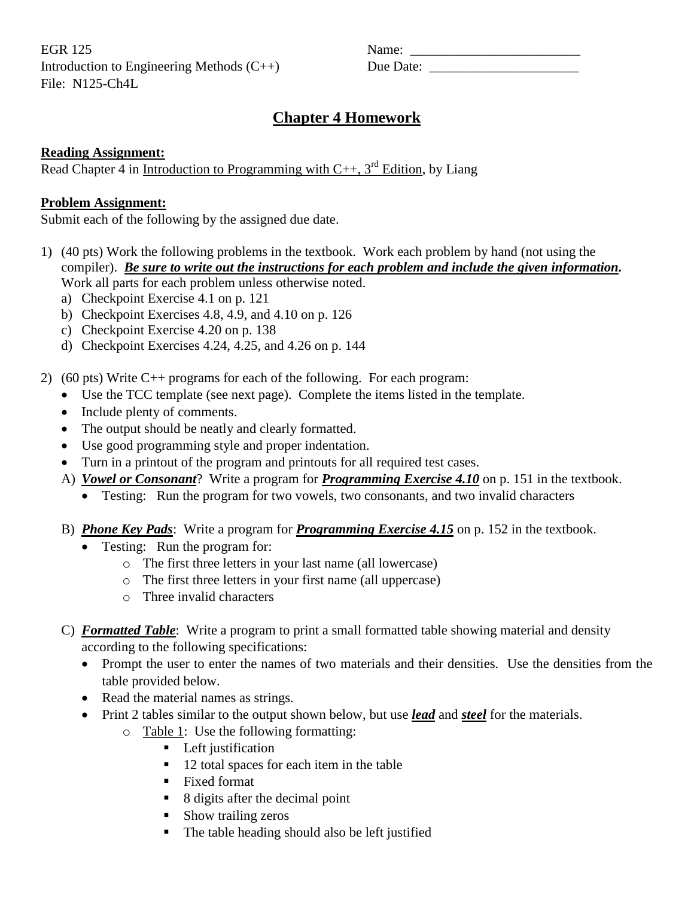EGR 125 Name: \_\_\_\_\_\_\_\_\_\_\_\_\_\_\_\_\_\_\_\_\_\_\_\_\_ Introduction to Engineering Methods  $(C++)$ File: N125-Ch4L

| Name:     |  |
|-----------|--|
| Due Date: |  |

# **Chapter 4 Homework**

## **Reading Assignment:**

Read Chapter 4 in <u>Introduction to</u> Programming with  $C_{++}$ , 3<sup>rd</sup> Edition, by Liang

#### **Problem Assignment:**

Submit each of the following by the assigned due date.

- 1) (40 pts) Work the following problems in the textbook. Work each problem by hand (not using the compiler). *Be sure to write out the instructions for each problem and include the given information.* Work all parts for each problem unless otherwise noted.
	- a) Checkpoint Exercise 4.1 on p. 121
	- b) Checkpoint Exercises 4.8, 4.9, and 4.10 on p. 126
	- c) Checkpoint Exercise 4.20 on p. 138
	- d) Checkpoint Exercises 4.24, 4.25, and 4.26 on p. 144
- 2) (60 pts) Write C++ programs for each of the following. For each program:
	- Use the TCC template (see next page). Complete the items listed in the template.
	- Include plenty of comments.
	- The output should be neatly and clearly formatted.
	- Use good programming style and proper indentation.
	- Turn in a printout of the program and printouts for all required test cases.
	- A) *Vowel or Consonant*? Write a program for *Programming Exercise 4.10* on p. 151 in the textbook.
		- Testing: Run the program for two vowels, two consonants, and two invalid characters
	- B) *Phone Key Pads*: Write a program for *Programming Exercise 4.15* on p. 152 in the textbook.
		- Testing: Run the program for:
			- o The first three letters in your last name (all lowercase)
			- o The first three letters in your first name (all uppercase)
			- o Three invalid characters

# C) *Formatted Table*: Write a program to print a small formatted table showing material and density according to the following specifications:

- Prompt the user to enter the names of two materials and their densities. Use the densities from the table provided below.
- Read the material names as strings.
- Print 2 tables similar to the output shown below, but use *lead* and *steel* for the materials.
	- o Table 1: Use the following formatting:
		- **Left** justification
		- 12 total spaces for each item in the table
		- Fixed format
		- 8 digits after the decimal point
		- Show trailing zeros
		- The table heading should also be left justified